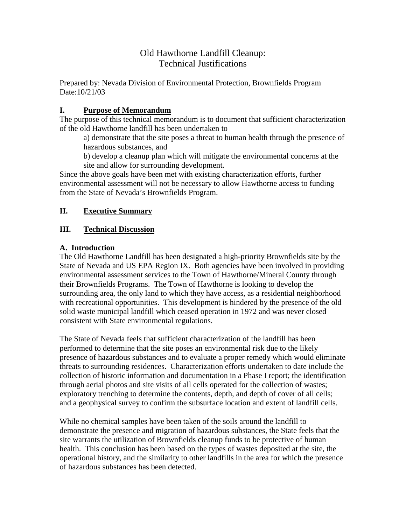# Old Hawthorne Landfill Cleanup: Technical Justifications

Prepared by: Nevada Division of Environmental Protection, Brownfields Program Date:10/21/03

## **I. Purpose of Memorandum**

The purpose of this technical memorandum is to document that sufficient characterization of the old Hawthorne landfill has been undertaken to

a) demonstrate that the site poses a threat to human health through the presence of hazardous substances, and

b) develop a cleanup plan which will mitigate the environmental concerns at the site and allow for surrounding development.

Since the above goals have been met with existing characterization efforts, further environmental assessment will not be necessary to allow Hawthorne access to funding from the State of Nevada's Brownfields Program.

## **II. Executive Summary**

## **III. Technical Discussion**

## **A. Introduction**

The Old Hawthorne Landfill has been designated a high-priority Brownfields site by the State of Nevada and US EPA Region IX. Both agencies have been involved in providing environmental assessment services to the Town of Hawthorne/Mineral County through their Brownfields Programs. The Town of Hawthorne is looking to develop the surrounding area, the only land to which they have access, as a residential neighborhood with recreational opportunities. This development is hindered by the presence of the old solid waste municipal landfill which ceased operation in 1972 and was never closed consistent with State environmental regulations.

The State of Nevada feels that sufficient characterization of the landfill has been performed to determine that the site poses an environmental risk due to the likely presence of hazardous substances and to evaluate a proper remedy which would eliminate threats to surrounding residences. Characterization efforts undertaken to date include the collection of historic information and documentation in a Phase I report; the identification through aerial photos and site visits of all cells operated for the collection of wastes; exploratory trenching to determine the contents, depth, and depth of cover of all cells; and a geophysical survey to confirm the subsurface location and extent of landfill cells.

While no chemical samples have been taken of the soils around the landfill to demonstrate the presence and migration of hazardous substances, the State feels that the site warrants the utilization of Brownfields cleanup funds to be protective of human health. This conclusion has been based on the types of wastes deposited at the site, the operational history, and the similarity to other landfills in the area for which the presence of hazardous substances has been detected.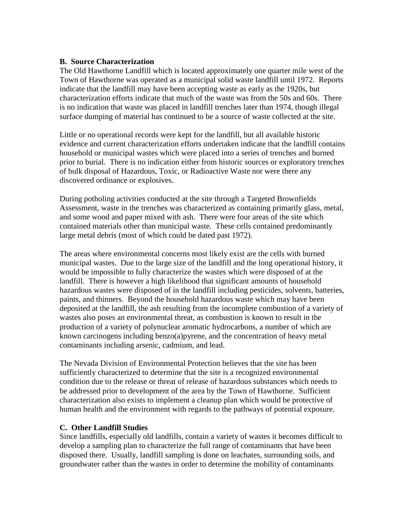#### **B. Source Characterization**

The Old Hawthorne Landfill which is located approximately one quarter mile west of the Town of Hawthorne was operated as a municipal solid waste landfill until 1972. Reports indicate that the landfill may have been accepting waste as early as the 1920s, but characterization efforts indicate that much of the waste was from the 50s and 60s. There is no indication that waste was placed in landfill trenches later than 1974, though illegal surface dumping of material has continued to be a source of waste collected at the site.

Little or no operational records were kept for the landfill, but all available historic evidence and current characterization efforts undertaken indicate that the landfill contains household or municipal wastes which were placed into a series of trenches and burned prior to burial. There is no indication either from historic sources or exploratory trenches of bulk disposal of Hazardous, Toxic, or Radioactive Waste nor were there any discovered ordinance or explosives.

During potholing activities conducted at the site through a Targeted Brownfields Assessment, waste in the trenches was characterized as containing primarily glass, metal, and some wood and paper mixed with ash. There were four areas of the site which contained materials other than municipal waste. These cells contained predominantly large metal debris (most of which could be dated past 1972).

The areas where environmental concerns most likely exist are the cells with burned municipal wastes. Due to the large size of the landfill and the long operational history, it would be impossible to fully characterize the wastes which were disposed of at the landfill. There is however a high likelihood that significant amounts of household hazardous wastes were disposed of in the landfill including pesticides, solvents, batteries, paints, and thinners. Beyond the household hazardous waste which may have been deposited at the landfill, the ash resulting from the incomplete combustion of a variety of wastes also poses an environmental threat, as combustion is known to result in the production of a variety of polynuclear aromatic hydrocarbons, a number of which are known carcinogens including benzo(a)pyrene, and the concentration of heavy metal contaminants including arsenic, cadmium, and lead.

The Nevada Division of Environmental Protection believes that the site has been sufficiently characterized to determine that the site is a recognized environmental condition due to the release or threat of release of hazardous substances which needs to be addressed prior to development of the area by the Town of Hawthorne. Sufficient characterization also exists to implement a cleanup plan which would be protective of human health and the environment with regards to the pathways of potential exposure.

#### **C. Other Landfill Studies**

Since landfills, especially old landfills, contain a variety of wastes it becomes difficult to develop a sampling plan to characterize the full range of contaminants that have been disposed there. Usually, landfill sampling is done on leachates, surrounding soils, and groundwater rather than the wastes in order to determine the mobility of contaminants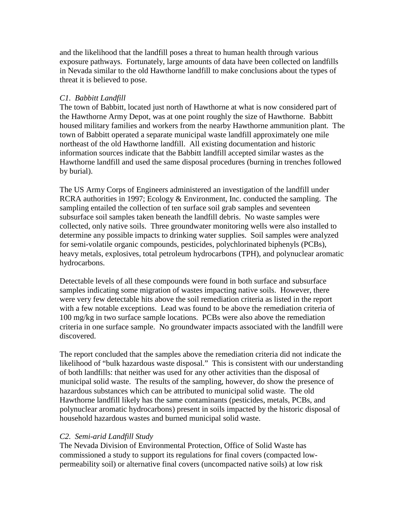and the likelihood that the landfill poses a threat to human health through various exposure pathways. Fortunately, large amounts of data have been collected on landfills in Nevada similar to the old Hawthorne landfill to make conclusions about the types of threat it is believed to pose.

#### *C1. Babbitt Landfill*

The town of Babbitt, located just north of Hawthorne at what is now considered part of the Hawthorne Army Depot, was at one point roughly the size of Hawthorne. Babbitt housed military families and workers from the nearby Hawthorne ammunition plant. The town of Babbitt operated a separate municipal waste landfill approximately one mile northeast of the old Hawthorne landfill. All existing documentation and historic information sources indicate that the Babbitt landfill accepted similar wastes as the Hawthorne landfill and used the same disposal procedures (burning in trenches followed by burial).

The US Army Corps of Engineers administered an investigation of the landfill under RCRA authorities in 1997; Ecology & Environment, Inc. conducted the sampling. The sampling entailed the collection of ten surface soil grab samples and seventeen subsurface soil samples taken beneath the landfill debris. No waste samples were collected, only native soils. Three groundwater monitoring wells were also installed to determine any possible impacts to drinking water supplies. Soil samples were analyzed for semi-volatile organic compounds, pesticides, polychlorinated biphenyls (PCBs), heavy metals, explosives, total petroleum hydrocarbons (TPH), and polynuclear aromatic hydrocarbons.

Detectable levels of all these compounds were found in both surface and subsurface samples indicating some migration of wastes impacting native soils. However, there were very few detectable hits above the soil remediation criteria as listed in the report with a few notable exceptions. Lead was found to be above the remediation criteria of 100 mg/kg in two surface sample locations. PCBs were also above the remediation criteria in one surface sample. No groundwater impacts associated with the landfill were discovered.

The report concluded that the samples above the remediation criteria did not indicate the likelihood of "bulk hazardous waste disposal." This is consistent with our understanding of both landfills: that neither was used for any other activities than the disposal of municipal solid waste. The results of the sampling, however, do show the presence of hazardous substances which can be attributed to municipal solid waste. The old Hawthorne landfill likely has the same contaminants (pesticides, metals, PCBs, and polynuclear aromatic hydrocarbons) present in soils impacted by the historic disposal of household hazardous wastes and burned municipal solid waste.

#### *C2. Semi-arid Landfill Study*

The Nevada Division of Environmental Protection, Office of Solid Waste has commissioned a study to support its regulations for final covers (compacted lowpermeability soil) or alternative final covers (uncompacted native soils) at low risk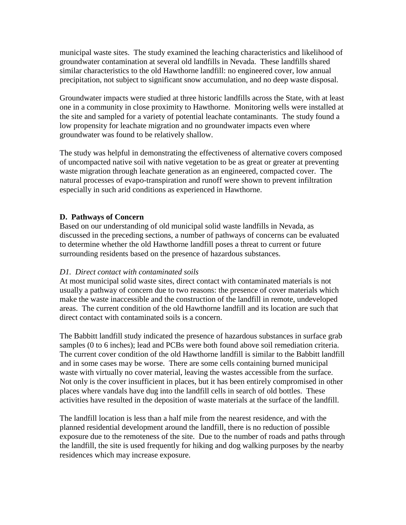municipal waste sites. The study examined the leaching characteristics and likelihood of groundwater contamination at several old landfills in Nevada. These landfills shared similar characteristics to the old Hawthorne landfill: no engineered cover, low annual precipitation, not subject to significant snow accumulation, and no deep waste disposal.

Groundwater impacts were studied at three historic landfills across the State, with at least one in a community in close proximity to Hawthorne. Monitoring wells were installed at the site and sampled for a variety of potential leachate contaminants. The study found a low propensity for leachate migration and no groundwater impacts even where groundwater was found to be relatively shallow.

The study was helpful in demonstrating the effectiveness of alternative covers composed of uncompacted native soil with native vegetation to be as great or greater at preventing waste migration through leachate generation as an engineered, compacted cover. The natural processes of evapo-transpiration and runoff were shown to prevent infiltration especially in such arid conditions as experienced in Hawthorne.

## **D. Pathways of Concern**

Based on our understanding of old municipal solid waste landfills in Nevada, as discussed in the preceding sections, a number of pathways of concerns can be evaluated to determine whether the old Hawthorne landfill poses a threat to current or future surrounding residents based on the presence of hazardous substances.

## *D1. Direct contact with contaminated soils*

At most municipal solid waste sites, direct contact with contaminated materials is not usually a pathway of concern due to two reasons: the presence of cover materials which make the waste inaccessible and the construction of the landfill in remote, undeveloped areas. The current condition of the old Hawthorne landfill and its location are such that direct contact with contaminated soils is a concern.

The Babbitt landfill study indicated the presence of hazardous substances in surface grab samples (0 to 6 inches); lead and PCBs were both found above soil remediation criteria. The current cover condition of the old Hawthorne landfill is similar to the Babbitt landfill and in some cases may be worse. There are some cells containing burned municipal waste with virtually no cover material, leaving the wastes accessible from the surface. Not only is the cover insufficient in places, but it has been entirely compromised in other places where vandals have dug into the landfill cells in search of old bottles. These activities have resulted in the deposition of waste materials at the surface of the landfill.

The landfill location is less than a half mile from the nearest residence, and with the planned residential development around the landfill, there is no reduction of possible exposure due to the remoteness of the site. Due to the number of roads and paths through the landfill, the site is used frequently for hiking and dog walking purposes by the nearby residences which may increase exposure.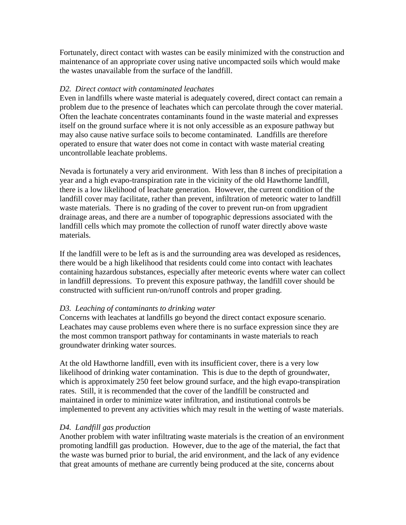Fortunately, direct contact with wastes can be easily minimized with the construction and maintenance of an appropriate cover using native uncompacted soils which would make the wastes unavailable from the surface of the landfill.

#### *D2. Direct contact with contaminated leachates*

Even in landfills where waste material is adequately covered, direct contact can remain a problem due to the presence of leachates which can percolate through the cover material. Often the leachate concentrates contaminants found in the waste material and expresses itself on the ground surface where it is not only accessible as an exposure pathway but may also cause native surface soils to become contaminated. Landfills are therefore operated to ensure that water does not come in contact with waste material creating uncontrollable leachate problems.

Nevada is fortunately a very arid environment. With less than 8 inches of precipitation a year and a high evapo-transpiration rate in the vicinity of the old Hawthorne landfill, there is a low likelihood of leachate generation. However, the current condition of the landfill cover may facilitate, rather than prevent, infiltration of meteoric water to landfill waste materials. There is no grading of the cover to prevent run-on from upgradient drainage areas, and there are a number of topographic depressions associated with the landfill cells which may promote the collection of runoff water directly above waste materials.

If the landfill were to be left as is and the surrounding area was developed as residences, there would be a high likelihood that residents could come into contact with leachates containing hazardous substances, especially after meteoric events where water can collect in landfill depressions. To prevent this exposure pathway, the landfill cover should be constructed with sufficient run-on/runoff controls and proper grading.

#### *D3. Leaching of contaminants to drinking water*

Concerns with leachates at landfills go beyond the direct contact exposure scenario. Leachates may cause problems even where there is no surface expression since they are the most common transport pathway for contaminants in waste materials to reach groundwater drinking water sources.

At the old Hawthorne landfill, even with its insufficient cover, there is a very low likelihood of drinking water contamination. This is due to the depth of groundwater, which is approximately 250 feet below ground surface, and the high evapo-transpiration rates. Still, it is recommended that the cover of the landfill be constructed and maintained in order to minimize water infiltration, and institutional controls be implemented to prevent any activities which may result in the wetting of waste materials.

## *D4. Landfill gas production*

Another problem with water infiltrating waste materials is the creation of an environment promoting landfill gas production. However, due to the age of the material, the fact that the waste was burned prior to burial, the arid environment, and the lack of any evidence that great amounts of methane are currently being produced at the site, concerns about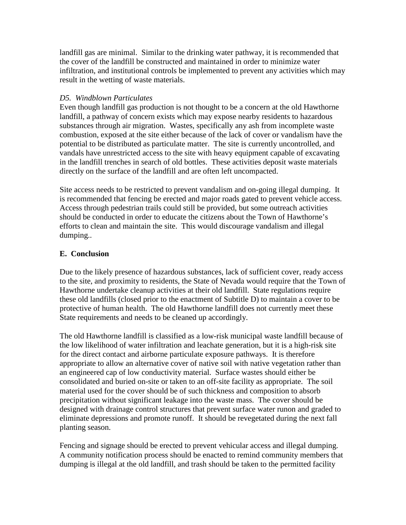landfill gas are minimal. Similar to the drinking water pathway, it is recommended that the cover of the landfill be constructed and maintained in order to minimize water infiltration, and institutional controls be implemented to prevent any activities which may result in the wetting of waste materials.

### *D5. Windblown Particulates*

Even though landfill gas production is not thought to be a concern at the old Hawthorne landfill, a pathway of concern exists which may expose nearby residents to hazardous substances through air migration. Wastes, specifically any ash from incomplete waste combustion, exposed at the site either because of the lack of cover or vandalism have the potential to be distributed as particulate matter. The site is currently uncontrolled, and vandals have unrestricted access to the site with heavy equipment capable of excavating in the landfill trenches in search of old bottles. These activities deposit waste materials directly on the surface of the landfill and are often left uncompacted.

Site access needs to be restricted to prevent vandalism and on-going illegal dumping. It is recommended that fencing be erected and major roads gated to prevent vehicle access. Access through pedestrian trails could still be provided, but some outreach activities should be conducted in order to educate the citizens about the Town of Hawthorne's efforts to clean and maintain the site. This would discourage vandalism and illegal dumping..

## **E. Conclusion**

Due to the likely presence of hazardous substances, lack of sufficient cover, ready access to the site, and proximity to residents, the State of Nevada would require that the Town of Hawthorne undertake cleanup activities at their old landfill. State regulations require these old landfills (closed prior to the enactment of Subtitle D) to maintain a cover to be protective of human health. The old Hawthorne landfill does not currently meet these State requirements and needs to be cleaned up accordingly.

The old Hawthorne landfill is classified as a low-risk municipal waste landfill because of the low likelihood of water infiltration and leachate generation, but it is a high-risk site for the direct contact and airborne particulate exposure pathways. It is therefore appropriate to allow an alternative cover of native soil with native vegetation rather than an engineered cap of low conductivity material. Surface wastes should either be consolidated and buried on-site or taken to an off-site facility as appropriate. The soil material used for the cover should be of such thickness and composition to absorb precipitation without significant leakage into the waste mass. The cover should be designed with drainage control structures that prevent surface water runon and graded to eliminate depressions and promote runoff. It should be revegetated during the next fall planting season.

Fencing and signage should be erected to prevent vehicular access and illegal dumping. A community notification process should be enacted to remind community members that dumping is illegal at the old landfill, and trash should be taken to the permitted facility